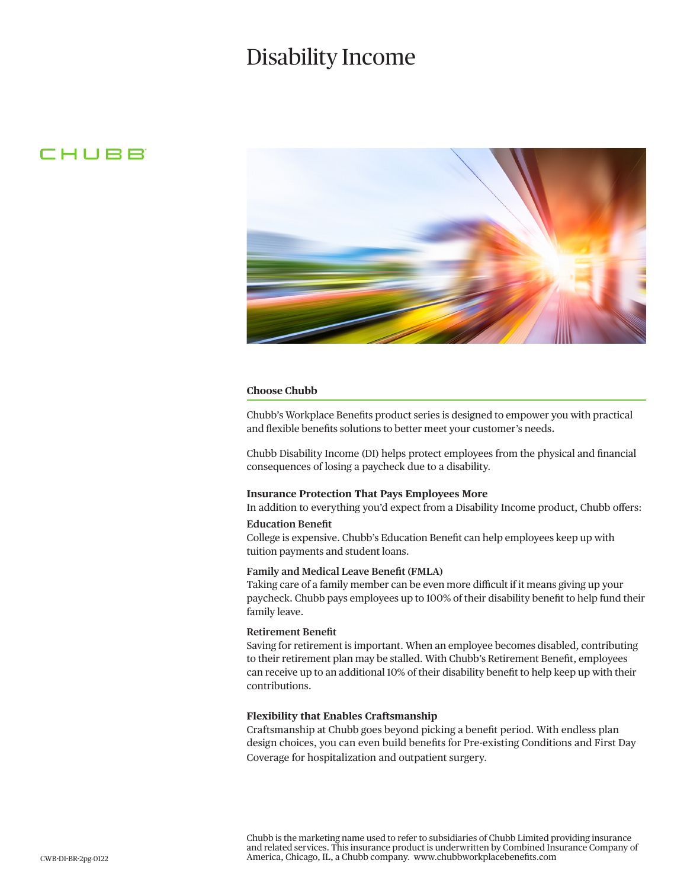# Disability Income

### CHUBB



#### **Choose Chubb**

Chubb's Workplace Benefits product series is designed to empower you with practical and flexible benefits solutions to better meet your customer's needs.

Chubb Disability Income (DI) helps protect employees from the physical and financial consequences of losing a paycheck due to a disability.

#### **Insurance Protection That Pays Employees More**

In addition to everything you'd expect from a Disability Income product, Chubb offers: **Education Benefit**

College is expensive. Chubb's Education Benefit can help employees keep up with tuition payments and student loans.

#### **Family and Medical Leave Benefit (FMLA)**

Taking care of a family member can be even more difficult if it means giving up your paycheck. Chubb pays employees up to 100% of their disability benefit to help fund their family leave.

#### **Retirement Benefit**

Saving for retirement is important. When an employee becomes disabled, contributing to their retirement plan may be stalled. With Chubb's Retirement Benefit, employees can receive up to an additional 10% of their disability benefit to help keep up with their contributions.

#### **Flexibility that Enables Craftsmanship**

Craftsmanship at Chubb goes beyond picking a benefit period. With endless plan design choices, you can even build benefits for Pre-existing Conditions and First Day Coverage for hospitalization and outpatient surgery.